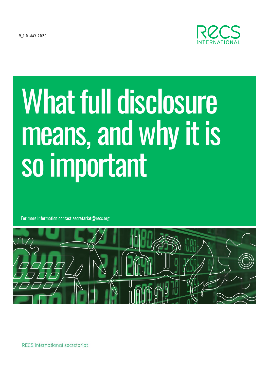V 1.0 MAY 2020



# **What full disclosure** means, and why it is so important

For more information contact secretariat@recs.org



RECS International secretariat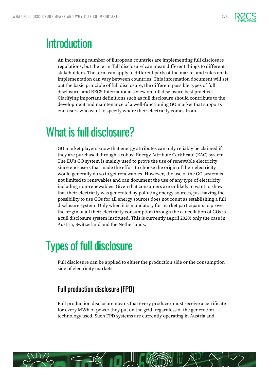

### **Introduction**

An increasing number of European countries are implementing full disclosure regulations, but the term 'full disclosure' can mean different things to different stakeholders. The term can apply to different parts of the market and rules on its implementation can vary between countries. This information document will set out the basic principle of full disclosure, the different possible types of full disclosure, and RECS International's view on full disclosure best practice. Clarifying important definitions such as full disclosure should contribute to the development and maintenance of a well-functioning GO market that supports end-users who want to specify where their electricity comes from.

# What is full disclosure?

GO market players know that energy attributes can only reliably be claimed if they are purchased through a robust Energy Attribute Certificate (EAC) system. The EU's GO system is mainly used to prove the use of renewable electricity since end-users that made the effort to choose the origin of their electricity would generally do so to get renewables. However, the use of the GO system is not limited to renewables and can document the use of any type of electricity including non-renewables. Given that consumers are unlikely to want to show that their electricity was generated by polluting energy sources, just having the possibility to use GOs for all energy sources does not count as establishing a full disclosure system. Only when it is mandatory for market participants to prove the origin of all their electricity consumption through the cancellation of GOs is a full disclosure system instituted. This is currently (April 2020) only the case in Austria, Switzerland and the Netherlands.

# Types of full disclosure

Full disclosure can be applied to either the production side or the consumption side of electricity markets.

#### Full production disclosure (FPD)

Full production disclosure means that every producer must receive a certificate for every MWh of power they put on the grid, regardless of the generation technology used. Such FPD systems are currently operating in Austria and

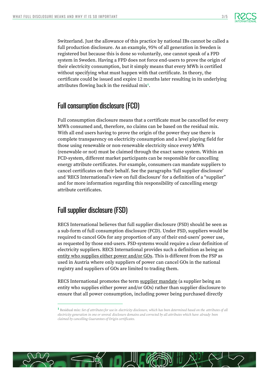

Switzerland. Just the allowance of this practice by national IBs cannot be called a full production disclosure. As an example, 95% of all generation in Sweden is registered but because this is done so voluntarily, one cannot speak of a FPD system in Sweden. Having a FPD does not force end-users to prove the origin of their electricity consumption, but it simply means that every MWh is certified without specifying what must happen with that certificate. In theory, the certificate could be issued and expire 12 months later resulting in its underlying attributes flowing back in the residual mix**<sup>1</sup>** .

#### Full consumption disclosure (FCD)

Full consumption disclosure means that a certificate must be cancelled for every MWh consumed and, therefore, no claims can be based on the residual mix. With all end users having to prove the origin of the power they use there is complete transparency on electricity consumption and a level playing field for those using renewable or non-renewable electricity since every MWh (renewable or not) must be claimed through the exact same system. Within an FCD-system, different market participants can be responsible for cancelling energy attribute certificates. For example, consumers can mandate suppliers to cancel certificates on their behalf. See the paragraphs 'full supplier disclosure' and 'RECS International's view on full disclosure' for a definition of a "supplier" and for more information regarding this responsibility of cancelling energy attribute certificates.

#### Full supplier disclosure (FSD)

RECS International believes that full supplier disclosure (FSD) should be seen as a sub-form of full consumption disclosure (FCD). Under FSD, suppliers would be required to cancel GOs for any proportion of any of their end-users' power use, as requested by those end-users. FSD-systems would require a clear definition of electricity suppliers. RECS International provides such a definition as being an entity who supplies either power and/or GOs. This is different from the FSP as used in Austria where only suppliers of power can cancel GOs in the national registry and suppliers of GOs are limited to trading them.

RECS International promotes the term supplier mandate (a supplier being an entity who supplies either power and/or GOs) rather than supplier disclosure to ensure that all power consumption, including power being purchased directly



**<sup>1</sup>** Residual mix: *Set of attributes for use in electricity disclosure, which has been determined based on the attributes of all electricity generation in one or several disclosure domains and corrected by all attributes which have already been claimed by cancelling Guarantees of Origin certificates.*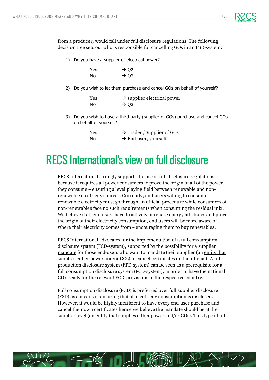

from a producer, would fall under full disclosure regulations. The following decision tree sets out who is responsible for cancelling GOs in an FSD-system:

1) Do you have a supplier of electrical power?

| Yes | $\rightarrow$ Q2 |
|-----|------------------|
| No  | $\rightarrow$ Q3 |

2) Do you wish to let them purchase and cancel GOs on behalf of yourself?

| Yes | $\rightarrow$ supplier electrical power |
|-----|-----------------------------------------|
| No. | $\rightarrow$ 03                        |

3) Do you wish to have a third party (supplier of GOs) purchase and cancel GOs on behalf of yourself?

| Yes | $\rightarrow$ Trader / Supplier of GOs |
|-----|----------------------------------------|
| No  | $\rightarrow$ End-user, yourself       |

## RECS International's view on full disclosure

RECS International strongly supports the use of full disclosure regulations because it requires all power consumers to prove the origin of all of the power they consume – ensuring a level playing field between renewable and nonrenewable electricity sources. Currently, end-users willing to consume renewable electricity must go through an official procedure while consumers of non-renewables face no such requirements when consuming the residual mix. We believe if all end-users have to actively purchase energy attributes and prove the origin of their electricity consumption, end-users will be more aware of where their electricity comes from – encouraging them to buy renewables.

RECS International advocates for the implementation of a full consumption disclosure system (FCD-system), supported by the possibility for a supplier mandate for those end-users who want to mandate their supplier (an entity that supplies either power and/or GOs) to cancel certificates on their behalf. A full production disclosure system (FPD-system) can be seen as a prerequisite for a full consumption disclosure system (FCD-system), in order to have the national GO's ready for the relevant FCD-provisions in the respective country.

Full consumption disclosure (FCD) is preferred over full supplier disclosure (FSD) as a means of ensuring that all electricity consumption is disclosed. However, it would be highly inefficient to have every end-user purchase and cancel their own certificates hence we believe the mandate should be at the supplier level (an entity that supplies either power and/or GOs). This type of full